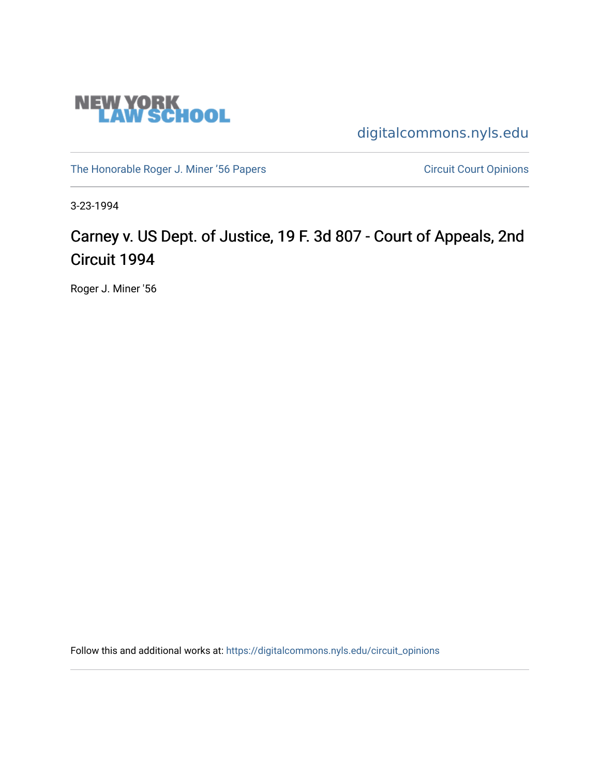

[digitalcommons.nyls.edu](https://digitalcommons.nyls.edu/) 

[The Honorable Roger J. Miner '56 Papers](https://digitalcommons.nyls.edu/miner_papers) Circuit Court Opinions

3-23-1994

# Carney v. US Dept. of Justice, 19 F. 3d 807 - Court of Appeals, 2nd Circuit 1994

Roger J. Miner '56

Follow this and additional works at: [https://digitalcommons.nyls.edu/circuit\\_opinions](https://digitalcommons.nyls.edu/circuit_opinions?utm_source=digitalcommons.nyls.edu%2Fcircuit_opinions%2F406&utm_medium=PDF&utm_campaign=PDFCoverPages)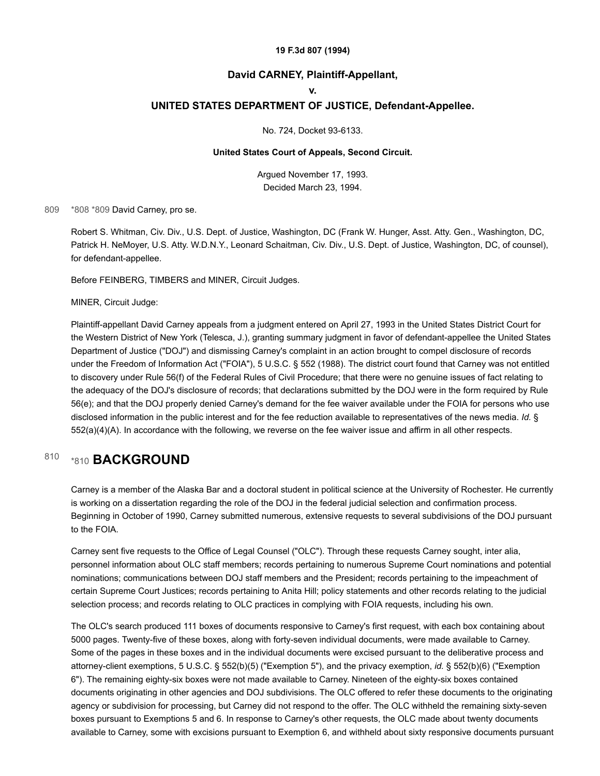#### **19 F.3d 807 (1994)**

### **David CARNEY, Plaintiff-Appellant,**

#### **v.**

### **UNITED STATES DEPARTMENT OF JUSTICE, Defendant-Appellee.**

No. 724, Docket 93-6133.

#### **United States Court of Appeals, Second Circuit.**

Argued November 17, 1993. Decided March 23, 1994.

809 [\\*808](#page-1-0) [\\*809](#page-1-1) David Carney, pro se.

<span id="page-1-1"></span><span id="page-1-0"></span>Robert S. Whitman, Civ. Div., U.S. Dept. of Justice, Washington, DC (Frank W. Hunger, Asst. Atty. Gen., Washington, DC, Patrick H. NeMoyer, U.S. Atty. W.D.N.Y., Leonard Schaitman, Civ. Div., U.S. Dept. of Justice, Washington, DC, of counsel), for defendant-appellee.

Before FEINBERG, TIMBERS and MINER, Circuit Judges.

MINER, Circuit Judge:

Plaintiff-appellant David Carney appeals from a judgment entered on April 27, 1993 in the United States District Court for the Western District of New York (Telesca, J.), granting summary judgment in favor of defendant-appellee the United States Department of Justice ("DOJ") and dismissing Carney's complaint in an action brought to compel disclosure of records under the Freedom of Information Act ("FOIA"), 5 U.S.C. § 552 (1988). The district court found that Carney was not entitled to discovery under Rule 56(f) of the Federal Rules of Civil Procedure; that there were no genuine issues of fact relating to the adequacy of the DOJ's disclosure of records; that declarations submitted by the DOJ were in the form required by Rule 56(e); and that the DOJ properly denied Carney's demand for the fee waiver available under the FOIA for persons who use disclosed information in the public interest and for the fee reduction available to representatives of the news media. *Id.* § 552(a)(4)(A). In accordance with the following, we reverse on the fee waiver issue and affirm in all other respects.

### <span id="page-1-2"></span>[810](#page-1-2) [\\*810](#page-1-2) **BACKGROUND**

Carney is a member of the Alaska Bar and a doctoral student in political science at the University of Rochester. He currently is working on a dissertation regarding the role of the DOJ in the federal judicial selection and confirmation process. Beginning in October of 1990, Carney submitted numerous, extensive requests to several subdivisions of the DOJ pursuant to the FOIA.

Carney sent five requests to the Office of Legal Counsel ("OLC"). Through these requests Carney sought, inter alia, personnel information about OLC staff members; records pertaining to numerous Supreme Court nominations and potential nominations; communications between DOJ staff members and the President; records pertaining to the impeachment of certain Supreme Court Justices; records pertaining to Anita Hill; policy statements and other records relating to the judicial selection process; and records relating to OLC practices in complying with FOIA requests, including his own.

The OLC's search produced 111 boxes of documents responsive to Carney's first request, with each box containing about 5000 pages. Twenty-five of these boxes, along with forty-seven individual documents, were made available to Carney. Some of the pages in these boxes and in the individual documents were excised pursuant to the deliberative process and attorney-client exemptions, 5 U.S.C. § 552(b)(5) ("Exemption 5"), and the privacy exemption, *id.* § 552(b)(6) ("Exemption 6"). The remaining eighty-six boxes were not made available to Carney. Nineteen of the eighty-six boxes contained documents originating in other agencies and DOJ subdivisions. The OLC offered to refer these documents to the originating agency or subdivision for processing, but Carney did not respond to the offer. The OLC withheld the remaining sixty-seven boxes pursuant to Exemptions 5 and 6. In response to Carney's other requests, the OLC made about twenty documents available to Carney, some with excisions pursuant to Exemption 6, and withheld about sixty responsive documents pursuant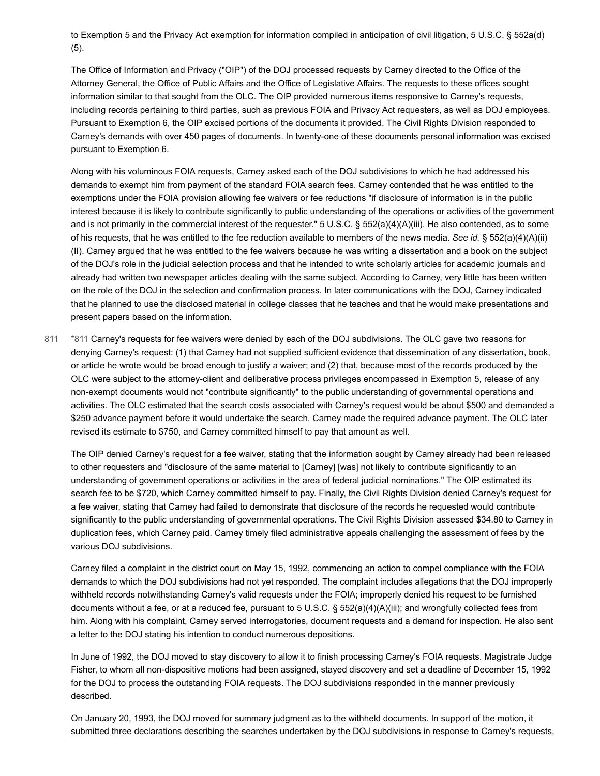to Exemption 5 and the Privacy Act exemption for information compiled in anticipation of civil litigation, 5 U.S.C. § 552a(d) (5).

The Office of Information and Privacy ("OIP") of the DOJ processed requests by Carney directed to the Office of the Attorney General, the Office of Public Affairs and the Office of Legislative Affairs. The requests to these offices sought information similar to that sought from the OLC. The OIP provided numerous items responsive to Carney's requests, including records pertaining to third parties, such as previous FOIA and Privacy Act requesters, as well as DOJ employees. Pursuant to Exemption 6, the OIP excised portions of the documents it provided. The Civil Rights Division responded to Carney's demands with over 450 pages of documents. In twenty-one of these documents personal information was excised pursuant to Exemption 6.

Along with his voluminous FOIA requests, Carney asked each of the DOJ subdivisions to which he had addressed his demands to exempt him from payment of the standard FOIA search fees. Carney contended that he was entitled to the exemptions under the FOIA provision allowing fee waivers or fee reductions "if disclosure of information is in the public interest because it is likely to contribute significantly to public understanding of the operations or activities of the government and is not primarily in the commercial interest of the requester."  $5 \text{ U.S.C.}$  §  $552(a)(4)(A)(iii)$ . He also contended, as to some of his requests, that he was entitled to the fee reduction available to members of the news media. *See id.* § 552(a)(4)(A)(ii) (II). Carney argued that he was entitled to the fee waivers because he was writing a dissertation and a book on the subject of the DOJ's role in the judicial selection process and that he intended to write scholarly articles for academic journals and already had written two newspaper articles dealing with the same subject. According to Carney, very little has been written on the role of the DOJ in the selection and confirmation process. In later communications with the DOJ, Carney indicated that he planned to use the disclosed material in college classes that he teaches and that he would make presentations and present papers based on the information.

<span id="page-2-0"></span>[\\*811](#page-2-0) Carney's requests for fee waivers were denied by each of the DOJ subdivisions. The OLC gave two reasons for denying Carney's request: (1) that Carney had not supplied sufficient evidence that dissemination of any dissertation, book, or article he wrote would be broad enough to justify a waiver; and (2) that, because most of the records produced by the OLC were subject to the attorney-client and deliberative process privileges encompassed in Exemption 5, release of any non-exempt documents would not "contribute significantly" to the public understanding of governmental operations and activities. The OLC estimated that the search costs associated with Carney's request would be about \$500 and demanded a \$250 advance payment before it would undertake the search. Carney made the required advance payment. The OLC later revised its estimate to \$750, and Carney committed himself to pay that amount as well. [811](#page-2-0)

The OIP denied Carney's request for a fee waiver, stating that the information sought by Carney already had been released to other requesters and "disclosure of the same material to [Carney] [was] not likely to contribute significantly to an understanding of government operations or activities in the area of federal judicial nominations." The OIP estimated its search fee to be \$720, which Carney committed himself to pay. Finally, the Civil Rights Division denied Carney's request for a fee waiver, stating that Carney had failed to demonstrate that disclosure of the records he requested would contribute significantly to the public understanding of governmental operations. The Civil Rights Division assessed \$34.80 to Carney in duplication fees, which Carney paid. Carney timely filed administrative appeals challenging the assessment of fees by the various DOJ subdivisions.

Carney filed a complaint in the district court on May 15, 1992, commencing an action to compel compliance with the FOIA demands to which the DOJ subdivisions had not yet responded. The complaint includes allegations that the DOJ improperly withheld records notwithstanding Carney's valid requests under the FOIA; improperly denied his request to be furnished documents without a fee, or at a reduced fee, pursuant to 5 U.S.C. § 552(a)(4)(A)(iii); and wrongfully collected fees from him. Along with his complaint, Carney served interrogatories, document requests and a demand for inspection. He also sent a letter to the DOJ stating his intention to conduct numerous depositions.

In June of 1992, the DOJ moved to stay discovery to allow it to finish processing Carney's FOIA requests. Magistrate Judge Fisher, to whom all non-dispositive motions had been assigned, stayed discovery and set a deadline of December 15, 1992 for the DOJ to process the outstanding FOIA requests. The DOJ subdivisions responded in the manner previously described.

On January 20, 1993, the DOJ moved for summary judgment as to the withheld documents. In support of the motion, it submitted three declarations describing the searches undertaken by the DOJ subdivisions in response to Carney's requests,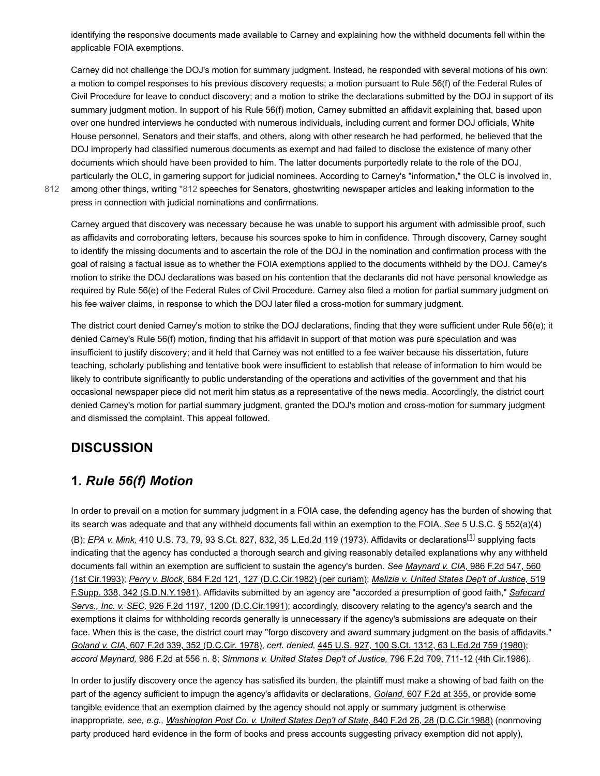identifying the responsive documents made available to Carney and explaining how the withheld documents fell within the applicable FOIA exemptions.

Carney did not challenge the DOJ's motion for summary judgment. Instead, he responded with several motions of his own: a motion to compel responses to his previous discovery requests; a motion pursuant to Rule 56(f) of the Federal Rules of Civil Procedure for leave to conduct discovery; and a motion to strike the declarations submitted by the DOJ in support of its summary judgment motion. In support of his Rule 56(f) motion, Carney submitted an affidavit explaining that, based upon over one hundred interviews he conducted with numerous individuals, including current and former DOJ officials, White House personnel, Senators and their staffs, and others, along with other research he had performed, he believed that the DOJ improperly had classified numerous documents as exempt and had failed to disclose the existence of many other documents which should have been provided to him. The latter documents purportedly relate to the role of the DOJ, particularly the OLC, in garnering support for judicial nominees. According to Carney's "information," the OLC is involved in, among other things, writing [\\*812](#page-3-0) speeches for Senators, ghostwriting newspaper articles and leaking information to the press in connection with judicial nominations and confirmations.

[812](#page-3-0)

<span id="page-3-0"></span>Carney argued that discovery was necessary because he was unable to support his argument with admissible proof, such as affidavits and corroborating letters, because his sources spoke to him in confidence. Through discovery, Carney sought to identify the missing documents and to ascertain the role of the DOJ in the nomination and confirmation process with the goal of raising a factual issue as to whether the FOIA exemptions applied to the documents withheld by the DOJ. Carney's motion to strike the DOJ declarations was based on his contention that the declarants did not have personal knowledge as required by Rule 56(e) of the Federal Rules of Civil Procedure. Carney also filed a motion for partial summary judgment on his fee waiver claims, in response to which the DOJ later filed a cross-motion for summary judgment.

The district court denied Carney's motion to strike the DOJ declarations, finding that they were sufficient under Rule 56(e); it denied Carney's Rule 56(f) motion, finding that his affidavit in support of that motion was pure speculation and was insufficient to justify discovery; and it held that Carney was not entitled to a fee waiver because his dissertation, future teaching, scholarly publishing and tentative book were insufficient to establish that release of information to him would be likely to contribute significantly to public understanding of the operations and activities of the government and that his occasional newspaper piece did not merit him status as a representative of the news media. Accordingly, the district court denied Carney's motion for partial summary judgment, granted the DOJ's motion and cross-motion for summary judgment and dismissed the complaint. This appeal followed.

### **DISCUSSION**

### **1.** *Rule 56(f) Motion*

<span id="page-3-1"></span>In order to prevail on a motion for summary judgment in a FOIA case, the defending agency has the burden of showing that its search was adequate and that any withheld documents fall within an exemption to the FOIA. *See* 5 U.S.C. § 552(a)(4) (B); *EPA v. Mink,* [410 U.S. 73, 79, 93 S.Ct. 827, 832, 35 L.Ed.2d 119 \(1973\).](https://scholar.google.com/scholar_case?case=16732009066494791886&q=93-6133&hl=en&as_sdt=6,31) Affidavits or declarations[\[1\]](#page-6-0) supplying facts indicating that the agency has conducted a thorough search and giving reasonably detailed explanations why any withheld [documents fall within an exemption are sufficient to sustain the agency's burden.](https://scholar.google.com/scholar_case?case=7268892584906549248&q=93-6133&hl=en&as_sdt=6,31) *See Maynard v. CIA,* 986 F.2d 547, 560 (1st Cir.1993); *Perry v. Block,* [684 F.2d 121, 127 \(D.C.Cir.1982\) \(per curiam\);](https://scholar.google.com/scholar_case?case=10953993419370382808&q=93-6133&hl=en&as_sdt=6,31) *Malizia v. United States Dep't of Justice,* 519 [F.Supp. 338, 342 \(S.D.N.Y.1981\). Affidavits submitted by an agency are "accorded a presumption of good faith,"](https://scholar.google.com/scholar_case?case=369900366532516611&q=93-6133&hl=en&as_sdt=6,31) *Safecard Servs., Inc. v. SEC,* 926 F.2d 1197, 1200 (D.C.Cir.1991); accordingly, discovery relating to the agency's search and the exemptions it claims for withholding records generally is unnecessary if the agency's submissions are adequate on their face. When this is the case, the district court may "forgo discovery and award summary judgment on the basis of affidavits." *Goland v. CIA,* [607 F.2d 339, 352 \(D.C.Cir. 1978\),](https://scholar.google.com/scholar_case?case=10738308555029904086&q=93-6133&hl=en&as_sdt=6,31) *cert. denied,* [445 U.S. 927, 100 S.Ct. 1312, 63 L.Ed.2d 759 \(1980\);](https://scholar.google.com/scholar_case?about=13958928882308526648&q=93-6133&hl=en&as_sdt=6,31) *accord Maynard,* [986 F.2d at 556 n. 8;](https://scholar.google.com/scholar_case?case=7268892584906549248&q=93-6133&hl=en&as_sdt=6,31) *[Simmons v. United States Dep't of Justice,](https://scholar.google.com/scholar_case?case=922062373165387533&q=93-6133&hl=en&as_sdt=6,31)* 796 F.2d 709, 711-12 (4th Cir.1986).

In order to justify discovery once the agency has satisfied its burden, the plaintiff must make a showing of bad faith on the part of the agency sufficient to impugn the agency's affidavits or declarations, *Goland,* [607 F.2d at 355,](https://scholar.google.com/scholar_case?case=10738308555029904086&q=93-6133&hl=en&as_sdt=6,31) or provide some tangible evidence that an exemption claimed by the agency should not apply or summary judgment is otherwise inappropriate, *see, e.g., [Washington Post Co. v. United States Dep't of State,](https://scholar.google.com/scholar_case?case=6155490959814751299&q=93-6133&hl=en&as_sdt=6,31)* 840 F.2d 26, 28 (D.C.Cir.1988) (nonmoving party produced hard evidence in the form of books and press accounts suggesting privacy exemption did not apply),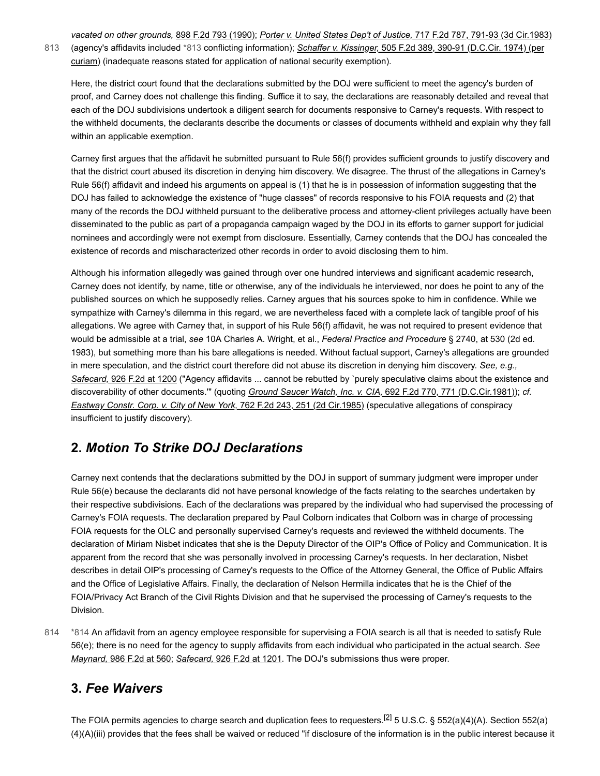*vacated on other grounds,* [898 F.2d 793 \(1990\)](https://scholar.google.com/scholar_case?case=17872790105246005535&q=93-6133&hl=en&as_sdt=6,31); *[Porter v. United States Dep't of Justice,](https://scholar.google.com/scholar_case?case=673291493215560673&q=93-6133&hl=en&as_sdt=6,31)* 717 F.2d 787, 791-93 (3d Cir.1983) (agency's affidavits included [\\*813](#page-4-0) conflicting information); *Schaffer v. Kissinger,* 505 F.2d 389, 390-91 (D.C.Cir. 1974) (per [curiam\) \(inadequate reasons stated for application of national security exemption\).](https://scholar.google.com/scholar_case?case=4632359174928750119&q=93-6133&hl=en&as_sdt=6,31) [813](#page-4-0)

<span id="page-4-0"></span>Here, the district court found that the declarations submitted by the DOJ were sufficient to meet the agency's burden of proof, and Carney does not challenge this finding. Suffice it to say, the declarations are reasonably detailed and reveal that each of the DOJ subdivisions undertook a diligent search for documents responsive to Carney's requests. With respect to the withheld documents, the declarants describe the documents or classes of documents withheld and explain why they fall within an applicable exemption.

Carney first argues that the affidavit he submitted pursuant to Rule 56(f) provides sufficient grounds to justify discovery and that the district court abused its discretion in denying him discovery. We disagree. The thrust of the allegations in Carney's Rule 56(f) affidavit and indeed his arguments on appeal is (1) that he is in possession of information suggesting that the DOJ has failed to acknowledge the existence of "huge classes" of records responsive to his FOIA requests and (2) that many of the records the DOJ withheld pursuant to the deliberative process and attorney-client privileges actually have been disseminated to the public as part of a propaganda campaign waged by the DOJ in its efforts to garner support for judicial nominees and accordingly were not exempt from disclosure. Essentially, Carney contends that the DOJ has concealed the existence of records and mischaracterized other records in order to avoid disclosing them to him.

Although his information allegedly was gained through over one hundred interviews and significant academic research, Carney does not identify, by name, title or otherwise, any of the individuals he interviewed, nor does he point to any of the published sources on which he supposedly relies. Carney argues that his sources spoke to him in confidence. While we sympathize with Carney's dilemma in this regard, we are nevertheless faced with a complete lack of tangible proof of his allegations. We agree with Carney that, in support of his Rule 56(f) affidavit, he was not required to present evidence that would be admissible at a trial, *see* 10A Charles A. Wright, et al., *Federal Practice and Procedure* § 2740, at 530 (2d ed. 1983), but something more than his bare allegations is needed. Without factual support, Carney's allegations are grounded in mere speculation, and the district court therefore did not abuse its discretion in denying him discovery. *See, e.g., Safecard,* [926 F.2d at 1200](https://scholar.google.com/scholar_case?case=3118717364730240055&q=93-6133&hl=en&as_sdt=6,31) ("Agency affidavits ... cannot be rebutted by `purely speculative claims about the existence and discoverability of other documents.'" (quoting *[Ground Saucer Watch, Inc. v. CIA,](https://scholar.google.com/scholar_case?case=13317712620106026521&q=93-6133&hl=en&as_sdt=6,31)* 692 F.2d 770, 771 (D.C.Cir.1981)); *cf. [Eastway Constr. Corp. v. City of New York,](https://scholar.google.com/scholar_case?case=2986102609398934579&q=93-6133&hl=en&as_sdt=6,31)* 762 F.2d 243, 251 (2d Cir.1985) (speculative allegations of conspiracy insufficient to justify discovery).

# **2.** *Motion To Strike DOJ Declarations*

Carney next contends that the declarations submitted by the DOJ in support of summary judgment were improper under Rule 56(e) because the declarants did not have personal knowledge of the facts relating to the searches undertaken by their respective subdivisions. Each of the declarations was prepared by the individual who had supervised the processing of Carney's FOIA requests. The declaration prepared by Paul Colborn indicates that Colborn was in charge of processing FOIA requests for the OLC and personally supervised Carney's requests and reviewed the withheld documents. The declaration of Miriam Nisbet indicates that she is the Deputy Director of the OIP's Office of Policy and Communication. It is apparent from the record that she was personally involved in processing Carney's requests. In her declaration, Nisbet describes in detail OIP's processing of Carney's requests to the Office of the Attorney General, the Office of Public Affairs and the Office of Legislative Affairs. Finally, the declaration of Nelson Hermilla indicates that he is the Chief of the FOIA/Privacy Act Branch of the Civil Rights Division and that he supervised the processing of Carney's requests to the Division.

<span id="page-4-1"></span>[\\*814](#page-4-1) An affidavit from an agency employee responsible for supervising a FOIA search is all that is needed to satisfy Rule 56(e); there is no need for the agency to supply affidavits from each individual who participated in the actual search. *See Maynard,* [986 F.2d at 560](https://scholar.google.com/scholar_case?case=7268892584906549248&q=93-6133&hl=en&as_sdt=6,31); *Safecard,* [926 F.2d at 1201.](https://scholar.google.com/scholar_case?case=3118717364730240055&q=93-6133&hl=en&as_sdt=6,31) The DOJ's submissions thus were proper. [814](#page-4-1)

# **3.** *Fee Waivers*

<span id="page-4-2"></span>The FOIA permits agencies to charge search and duplication fees to requesters.<sup>[\[2\]](#page-6-1)</sup> 5 U.S.C. § 552(a)(4)(A). Section 552(a) (4)(A)(iii) provides that the fees shall be waived or reduced "if disclosure of the information is in the public interest because it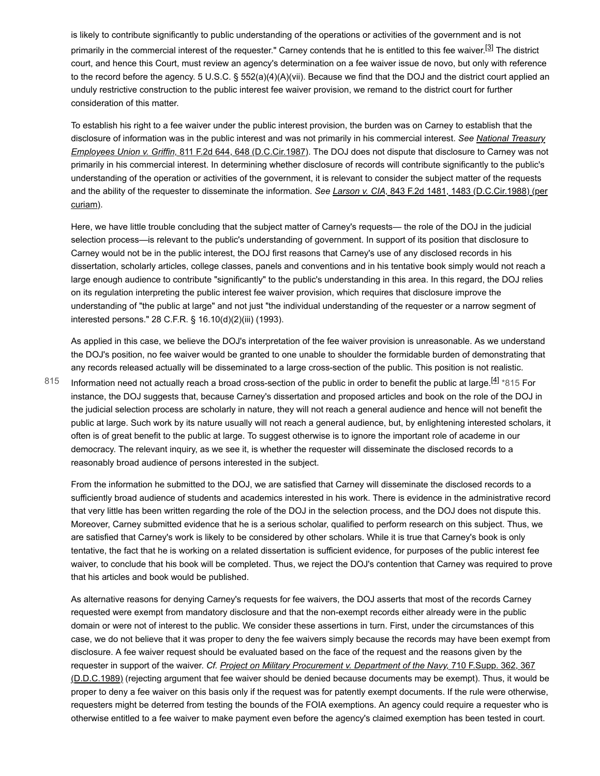<span id="page-5-1"></span>is likely to contribute significantly to public understanding of the operations or activities of the government and is not primarily in the commercial interest of the requester." Carney contends that he is entitled to this fee waiver.<sup>[\[3\]](#page-6-2)</sup> The district court, and hence this Court, must review an agency's determination on a fee waiver issue de novo, but only with reference to the record before the agency. 5 U.S.C. § 552(a)(4)(A)(vii). Because we find that the DOJ and the district court applied an unduly restrictive construction to the public interest fee waiver provision, we remand to the district court for further consideration of this matter.

To establish his right to a fee waiver under the public interest provision, the burden was on Carney to establish that the [disclosure of information was in the public interest and was not primarily in his commercial interest.](https://scholar.google.com/scholar_case?case=14362586627177878620&q=93-6133&hl=en&as_sdt=6,31) *See National Treasury Employees Union v. Griffin,* 811 F.2d 644, 648 (D.C.Cir.1987). The DOJ does not dispute that disclosure to Carney was not primarily in his commercial interest. In determining whether disclosure of records will contribute significantly to the public's understanding of the operation or activities of the government, it is relevant to consider the subject matter of the requests [and the ability of the requester to disseminate the information.](https://scholar.google.com/scholar_case?case=12624011747209219060&q=93-6133&hl=en&as_sdt=6,31) *See Larson v. CIA,* 843 F.2d 1481, 1483 (D.C.Cir.1988) (per curiam).

Here, we have little trouble concluding that the subject matter of Carney's requests— the role of the DOJ in the judicial selection process—is relevant to the public's understanding of government. In support of its position that disclosure to Carney would not be in the public interest, the DOJ first reasons that Carney's use of any disclosed records in his dissertation, scholarly articles, college classes, panels and conventions and in his tentative book simply would not reach a large enough audience to contribute "significantly" to the public's understanding in this area. In this regard, the DOJ relies on its regulation interpreting the public interest fee waiver provision, which requires that disclosure improve the understanding of "the public at large" and not just "the individual understanding of the requester or a narrow segment of interested persons." 28 C.F.R. § 16.10(d)(2)(iii) (1993).

<span id="page-5-2"></span><span id="page-5-0"></span>As applied in this case, we believe the DOJ's interpretation of the fee waiver provision is unreasonable. As we understand the DOJ's position, no fee waiver would be granted to one unable to shoulder the formidable burden of demonstrating that any records released actually will be disseminated to a large cross-section of the public. This position is not realistic.

Information need not actually reach a broad cross-section of the public in order to benefit the public at large.<sup>[\[4\]](#page-6-3)</sup> [\\*815](#page-5-0) For instance, the DOJ suggests that, because Carney's dissertation and proposed articles and book on the role of the DOJ in the judicial selection process are scholarly in nature, they will not reach a general audience and hence will not benefit the public at large. Such work by its nature usually will not reach a general audience, but, by enlightening interested scholars, it often is of great benefit to the public at large. To suggest otherwise is to ignore the important role of academe in our democracy. The relevant inquiry, as we see it, is whether the requester will disseminate the disclosed records to a reasonably broad audience of persons interested in the subject. [815](#page-5-0)

From the information he submitted to the DOJ, we are satisfied that Carney will disseminate the disclosed records to a sufficiently broad audience of students and academics interested in his work. There is evidence in the administrative record that very little has been written regarding the role of the DOJ in the selection process, and the DOJ does not dispute this. Moreover, Carney submitted evidence that he is a serious scholar, qualified to perform research on this subject. Thus, we are satisfied that Carney's work is likely to be considered by other scholars. While it is true that Carney's book is only tentative, the fact that he is working on a related dissertation is sufficient evidence, for purposes of the public interest fee waiver, to conclude that his book will be completed. Thus, we reject the DOJ's contention that Carney was required to prove that his articles and book would be published.

As alternative reasons for denying Carney's requests for fee waivers, the DOJ asserts that most of the records Carney requested were exempt from mandatory disclosure and that the non-exempt records either already were in the public domain or were not of interest to the public. We consider these assertions in turn. First, under the circumstances of this case, we do not believe that it was proper to deny the fee waivers simply because the records may have been exempt from disclosure. A fee waiver request should be evaluated based on the face of the request and the reasons given by the requester in support of the waiver. *Cf. Project on Military Procurement v. Department of the Navy,* 710 F.Supp. 362, 367 [\(D.D.C.1989\) \(rejecting argument that fee waiver should be denied because documents may be exempt\). Thus, it would](https://scholar.google.com/scholar_case?case=515158617005864931&q=93-6133&hl=en&as_sdt=6,31) be proper to deny a fee waiver on this basis only if the request was for patently exempt documents. If the rule were otherwise, requesters might be deterred from testing the bounds of the FOIA exemptions. An agency could require a requester who is otherwise entitled to a fee waiver to make payment even before the agency's claimed exemption has been tested in court.